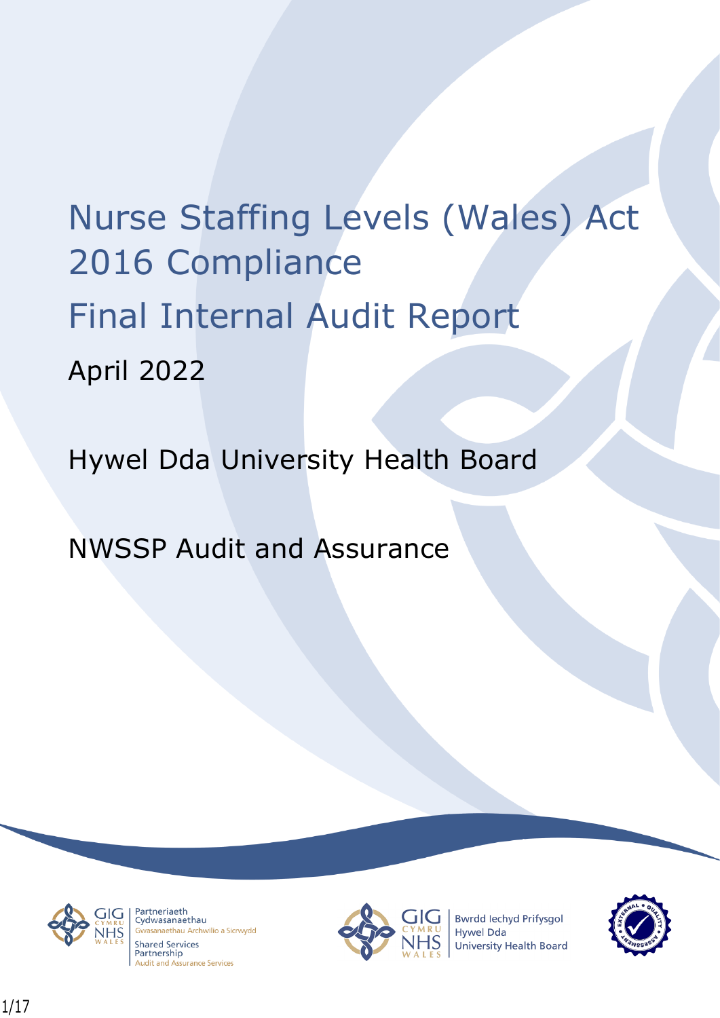# Nurse Staffing Levels (Wales) Act 2016 Compliance Final Internal Audit Report April 2022

Hywel Dda University Health Board

NWSSP Audit and Assurance



Partneriaeth rartheriaeth<br>Cydwasanaethau anaethau Archwilio a Sicrwydd **Shared Services** Partnership **Audit and Assurance Services** 



**Bwrdd lechyd Prifysgol Hywel Dda** University Health Board

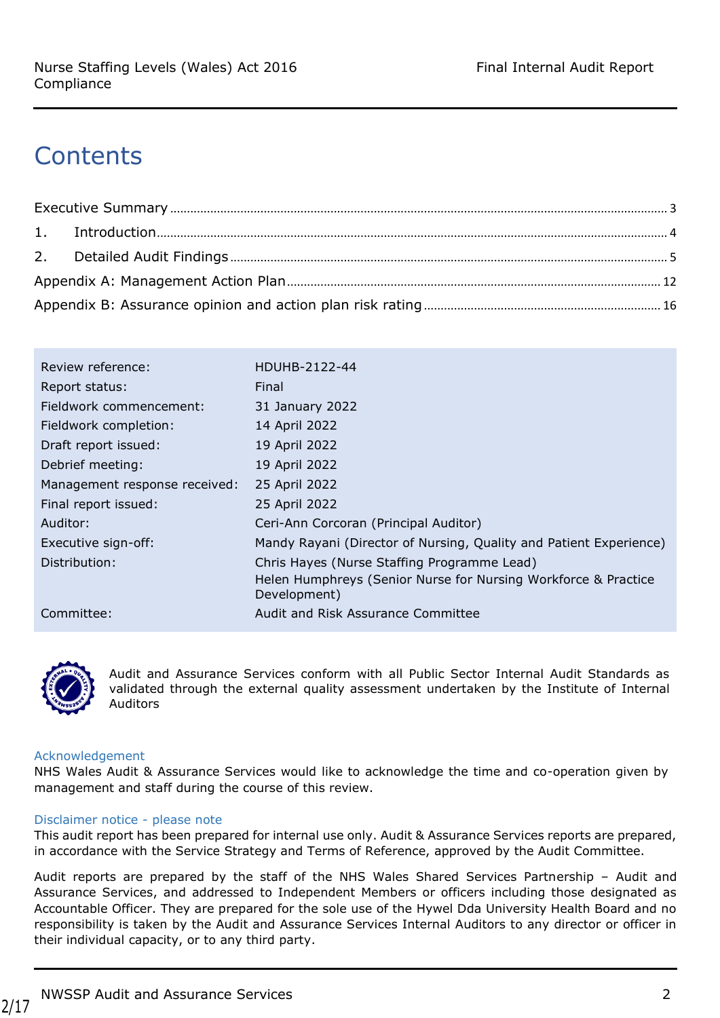# **Contents**

| Review reference:             | HDUHB-2122-44                                                                  |
|-------------------------------|--------------------------------------------------------------------------------|
| Report status:                | Final                                                                          |
| Fieldwork commencement:       | 31 January 2022                                                                |
| Fieldwork completion:         | 14 April 2022                                                                  |
| Draft report issued:          | 19 April 2022                                                                  |
| Debrief meeting:              | 19 April 2022                                                                  |
| Management response received: | 25 April 2022                                                                  |
| Final report issued:          | 25 April 2022                                                                  |
| Auditor:                      | Ceri-Ann Corcoran (Principal Auditor)                                          |
| Executive sign-off:           | Mandy Rayani (Director of Nursing, Quality and Patient Experience)             |
| Distribution:                 | Chris Hayes (Nurse Staffing Programme Lead)                                    |
|                               | Helen Humphreys (Senior Nurse for Nursing Workforce & Practice<br>Development) |
| Committee:                    | Audit and Risk Assurance Committee                                             |



Audit and Assurance Services conform with all Public Sector Internal Audit Standards as validated through the external quality assessment undertaken by the Institute of Internal Auditors

#### Acknowledgement

NHS Wales Audit & Assurance Services would like to acknowledge the time and co-operation given by management and staff during the course of this review.

#### Disclaimer notice - please note

This audit report has been prepared for internal use only. Audit & Assurance Services reports are prepared, in accordance with the Service Strategy and Terms of Reference, approved by the Audit Committee.

Audit reports are prepared by the staff of the NHS Wales Shared Services Partnership – Audit and Assurance Services, and addressed to Independent Members or officers including those designated as Accountable Officer. They are prepared for the sole use of the Hywel Dda University Health Board and no responsibility is taken by the Audit and Assurance Services Internal Auditors to any director or officer in their individual capacity, or to any third party.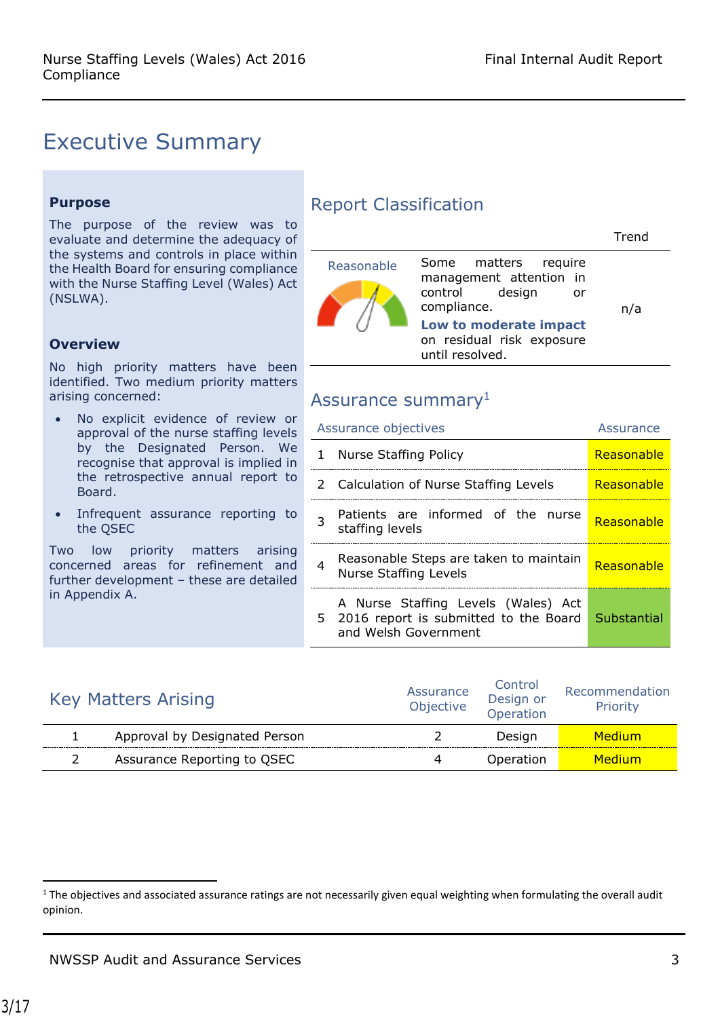Trend

# <span id="page-2-0"></span>Executive Summary

#### **Purpose**

The purpose of the review was to evaluate and determine the adequacy of the systems and controls in place within the Health Board for ensuring compliance with the Nurse Staffing Level (Wales) Act (NSLWA).

#### **Overview**

No high priority matters have been identified. Two medium priority matters arising concerned:

- No explicit evidence of review or approval of the nurse staffing levels by the Designated Person. We recognise that approval is implied in the retrospective annual report to Board.
- Infrequent assurance reporting to the QSEC

Two low priority matters arising concerned areas for refinement and further development – these are detailed in Appendix A.

## Report Classification

| Reasonable | Some matters require<br>management attention in<br>control design<br>or<br>compliance.<br>Low to moderate impact<br>on residual risk exposure<br>until resolved. | n/a |
|------------|------------------------------------------------------------------------------------------------------------------------------------------------------------------|-----|

#### Assurance summary<sup>1</sup>

|   | Assurance objectives                                                                                   | <b>Assurance</b> |
|---|--------------------------------------------------------------------------------------------------------|------------------|
|   | 1 Nurse Staffing Policy                                                                                | Reasonable       |
|   | 2 Calculation of Nurse Staffing Levels                                                                 | Reasonable       |
|   | Patients are informed of the nurse<br>staffing levels                                                  | Reasonable       |
| 4 | Reasonable Steps are taken to maintain<br><b>Nurse Staffing Levels</b>                                 | Reasonable       |
|   | A Nurse Staffing Levels (Wales) Act<br>5 2016 report is submitted to the Board<br>and Welsh Government | Substantial      |

| <b>Key Matters Arising</b> |                               | Assurance<br>Objective | Control<br>Design or<br>Operation | Recommendation<br>Priority |
|----------------------------|-------------------------------|------------------------|-----------------------------------|----------------------------|
|                            | Approval by Designated Person |                        | Design                            | Medium.                    |
|                            | Assurance Reporting to QSEC   | 4                      | Operation                         | Medium.                    |

 $1$  The objectives and associated assurance ratings are not necessarily given equal weighting when formulating the overall audit opinion.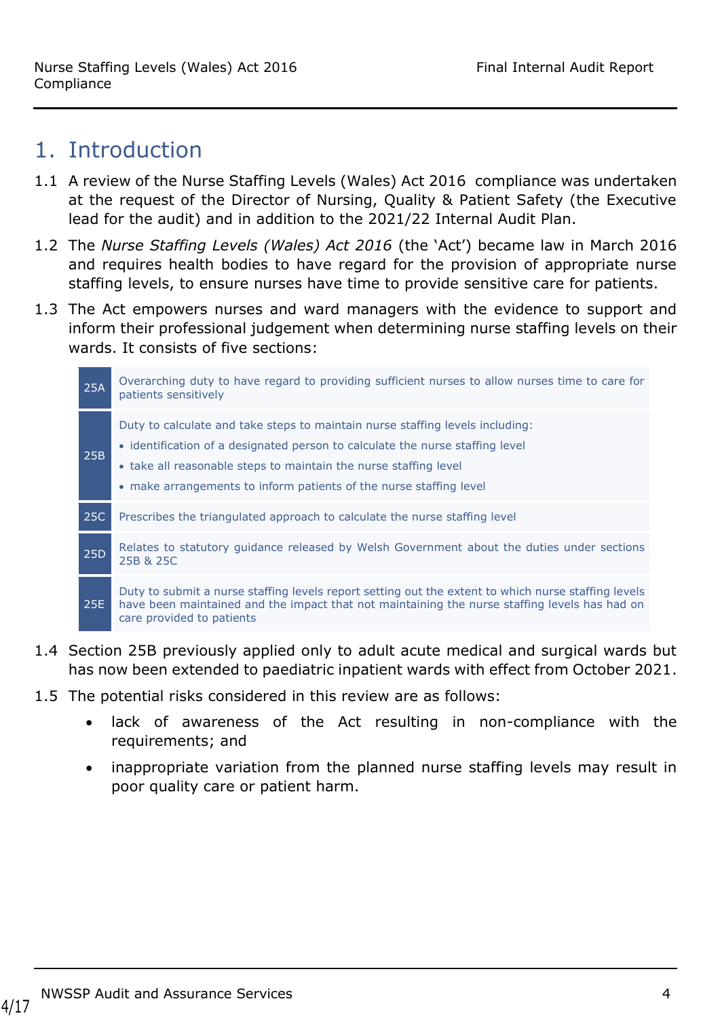## <span id="page-3-0"></span>1. Introduction

- 1.1 A review of the Nurse Staffing Levels (Wales) Act 2016 compliance was undertaken at the request of the Director of Nursing, Quality & Patient Safety (the Executive lead for the audit) and in addition to the 2021/22 Internal Audit Plan.
- 1.2 The *Nurse Staffing Levels (Wales) Act 2016* (the 'Act') became law in March 2016 and requires health bodies to have regard for the provision of appropriate nurse staffing levels, to ensure nurses have time to provide sensitive care for patients.
- 1.3 The Act empowers nurses and ward managers with the evidence to support and inform their professional judgement when determining nurse staffing levels on their wards. It consists of five sections:



- 1.4 Section 25B previously applied only to adult acute medical and surgical wards but has now been extended to paediatric inpatient wards with effect from October 2021.
- 1.5 The potential risks considered in this review are as follows:
	- lack of awareness of the Act resulting in non-compliance with the requirements; and
	- inappropriate variation from the planned nurse staffing levels may result in poor quality care or patient harm.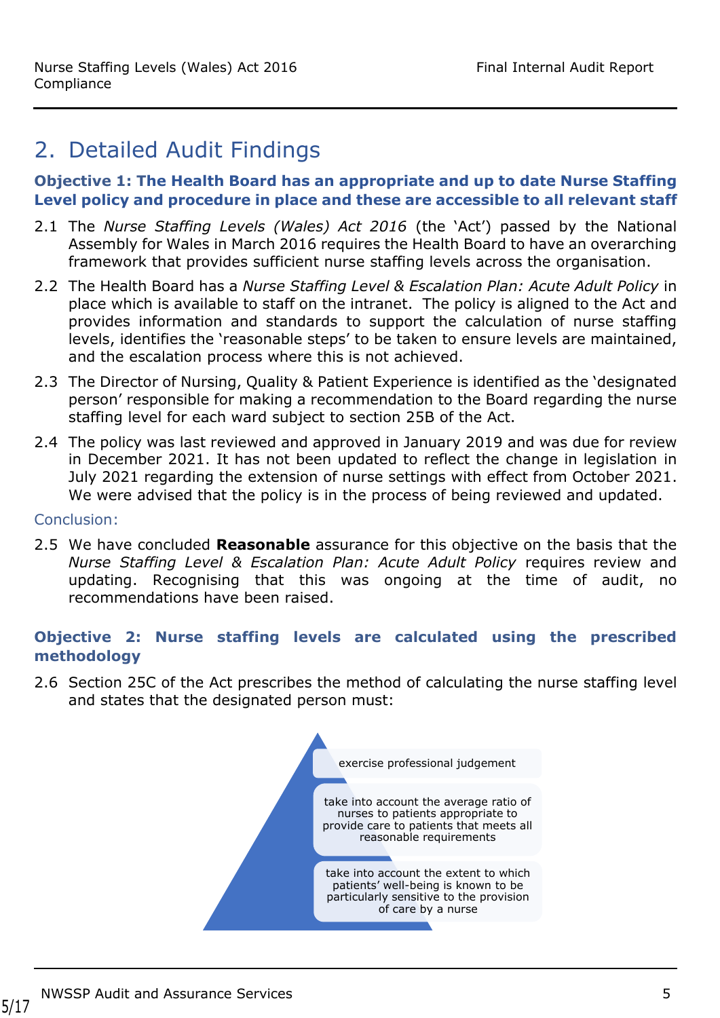# <span id="page-4-0"></span>2. Detailed Audit Findings

#### **Objective 1: The Health Board has an appropriate and up to date Nurse Staffing Level policy and procedure in place and these are accessible to all relevant staff**

- 2.1 The *Nurse Staffing Levels (Wales) Act 2016* (the 'Act') passed by the National Assembly for Wales in March 2016 requires the Health Board to have an overarching framework that provides sufficient nurse staffing levels across the organisation.
- 2.2 The Health Board has a *Nurse Staffing Level & Escalation Plan: Acute Adult Policy* in place which is available to staff on the intranet. The policy is aligned to the Act and provides information and standards to support the calculation of nurse staffing levels, identifies the 'reasonable steps' to be taken to ensure levels are maintained, and the escalation process where this is not achieved.
- 2.3 The Director of Nursing, Quality & Patient Experience is identified as the 'designated person' responsible for making a recommendation to the Board regarding the nurse staffing level for each ward subject to section 25B of the Act.
- 2.4 The policy was last reviewed and approved in January 2019 and was due for review in December 2021. It has not been updated to reflect the change in legislation in July 2021 regarding the extension of nurse settings with effect from October 2021. We were advised that the policy is in the process of being reviewed and updated.

#### Conclusion:

2.5 We have concluded **Reasonable** assurance for this objective on the basis that the *Nurse Staffing Level & Escalation Plan: Acute Adult Policy* requires review and updating. Recognising that this was ongoing at the time of audit, no recommendations have been raised.

#### **Objective 2: Nurse staffing levels are calculated using the prescribed methodology**

2.6 Section 25C of the Act prescribes the method of calculating the nurse staffing level and states that the designated person must:

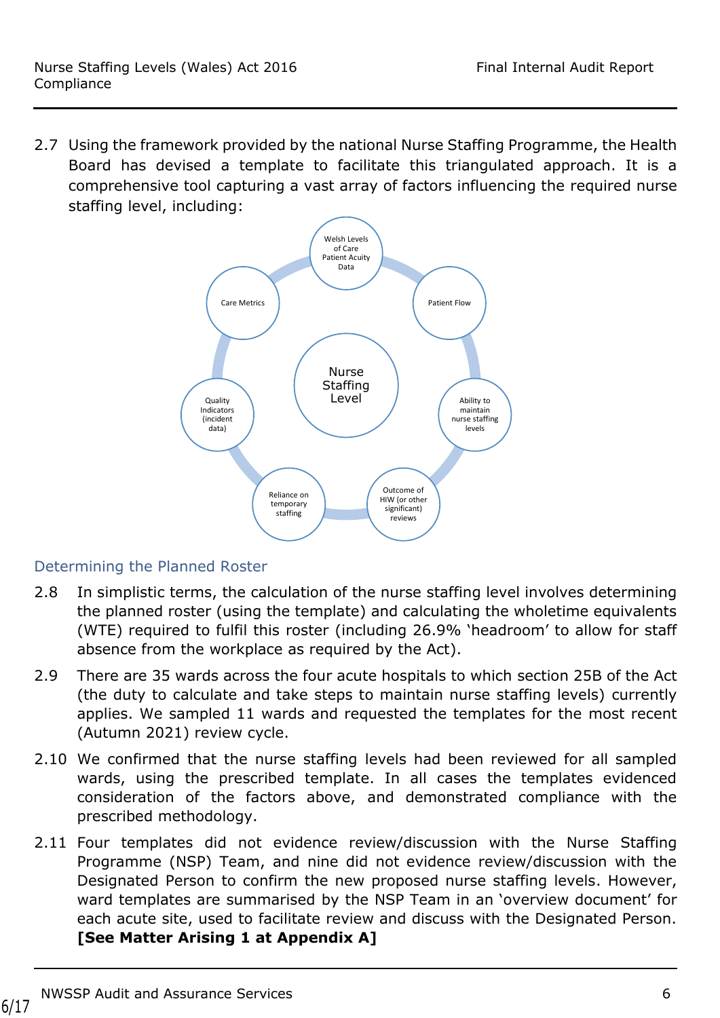2.7 Using the framework provided by the national Nurse Staffing Programme, the Health Board has devised a template to facilitate this triangulated approach. It is a comprehensive tool capturing a vast array of factors influencing the required nurse staffing level, including:



## Determining the Planned Roster

- 2.8 In simplistic terms, the calculation of the nurse staffing level involves determining the planned roster (using the template) and calculating the wholetime equivalents (WTE) required to fulfil this roster (including 26.9% 'headroom' to allow for staff absence from the workplace as required by the Act).
- 2.9 There are 35 wards across the four acute hospitals to which section 25B of the Act (the duty to calculate and take steps to maintain nurse staffing levels) currently applies. We sampled 11 wards and requested the templates for the most recent (Autumn 2021) review cycle.
- 2.10 We confirmed that the nurse staffing levels had been reviewed for all sampled wards, using the prescribed template. In all cases the templates evidenced consideration of the factors above, and demonstrated compliance with the prescribed methodology.
- 2.11 Four templates did not evidence review/discussion with the Nurse Staffing Programme (NSP) Team, and nine did not evidence review/discussion with the Designated Person to confirm the new proposed nurse staffing levels. However, ward templates are summarised by the NSP Team in an 'overview document' for each acute site, used to facilitate review and discuss with the Designated Person. **[See Matter Arising 1 at Appendix A]**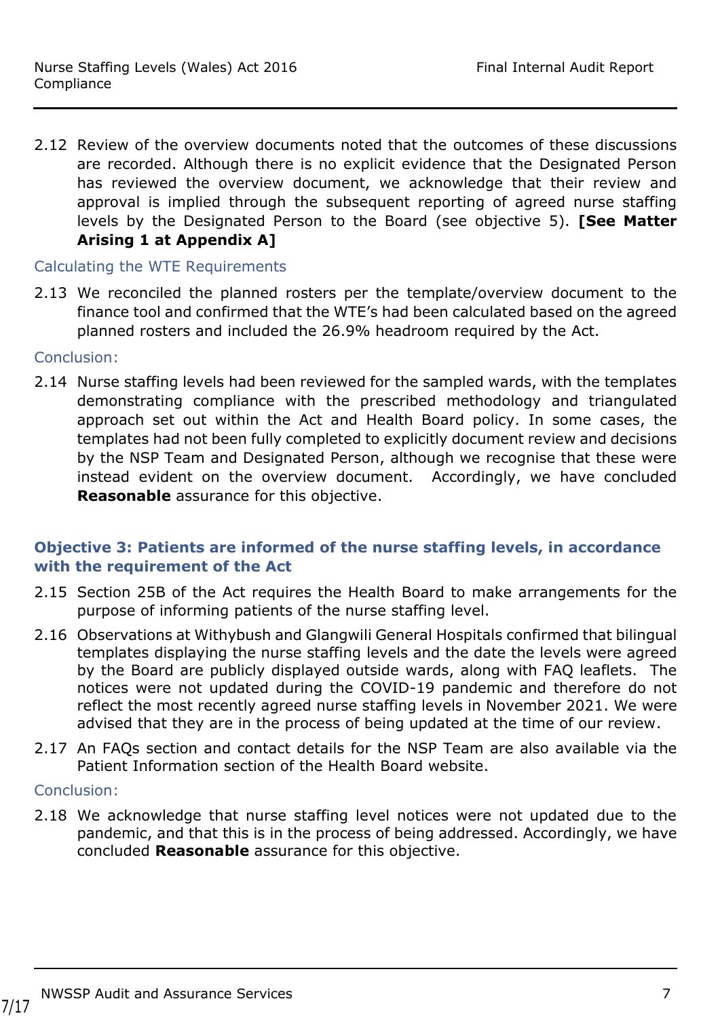2.12 Review of the overview documents noted that the outcomes of these discussions are recorded. Although there is no explicit evidence that the Designated Person has reviewed the overview document, we acknowledge that their review and approval is implied through the subsequent reporting of agreed nurse staffing levels by the Designated Person to the Board (see objective 5). **[See Matter Arising 1 at Appendix A]**

#### Calculating the WTE Requirements

2.13 We reconciled the planned rosters per the template/overview document to the finance tool and confirmed that the WTE's had been calculated based on the agreed planned rosters and included the 26.9% headroom required by the Act.

#### Conclusion:

2.14 Nurse staffing levels had been reviewed for the sampled wards, with the templates demonstrating compliance with the prescribed methodology and triangulated approach set out within the Act and Health Board policy. In some cases, the templates had not been fully completed to explicitly document review and decisions by the NSP Team and Designated Person, although we recognise that these were instead evident on the overview document. Accordingly, we have concluded **Reasonable** assurance for this objective.

### **Objective 3: Patients are informed of the nurse staffing levels, in accordance with the requirement of the Act**

- 2.15 Section 25B of the Act requires the Health Board to make arrangements for the purpose of informing patients of the nurse staffing level.
- 2.16 Observations at Withybush and Glangwili General Hospitals confirmed that bilingual templates displaying the nurse staffing levels and the date the levels were agreed by the Board are publicly displayed outside wards, along with FAQ leaflets. The notices were not updated during the COVID-19 pandemic and therefore do not reflect the most recently agreed nurse staffing levels in November 2021. We were advised that they are in the process of being updated at the time of our review.
- 2.17 An FAQs section and contact details for the NSP Team are also available via the Patient Information section of the Health Board website.

#### Conclusion:

2.18 We acknowledge that nurse staffing level notices were not updated due to the pandemic, and that this is in the process of being addressed. Accordingly, we have concluded **Reasonable** assurance for this objective.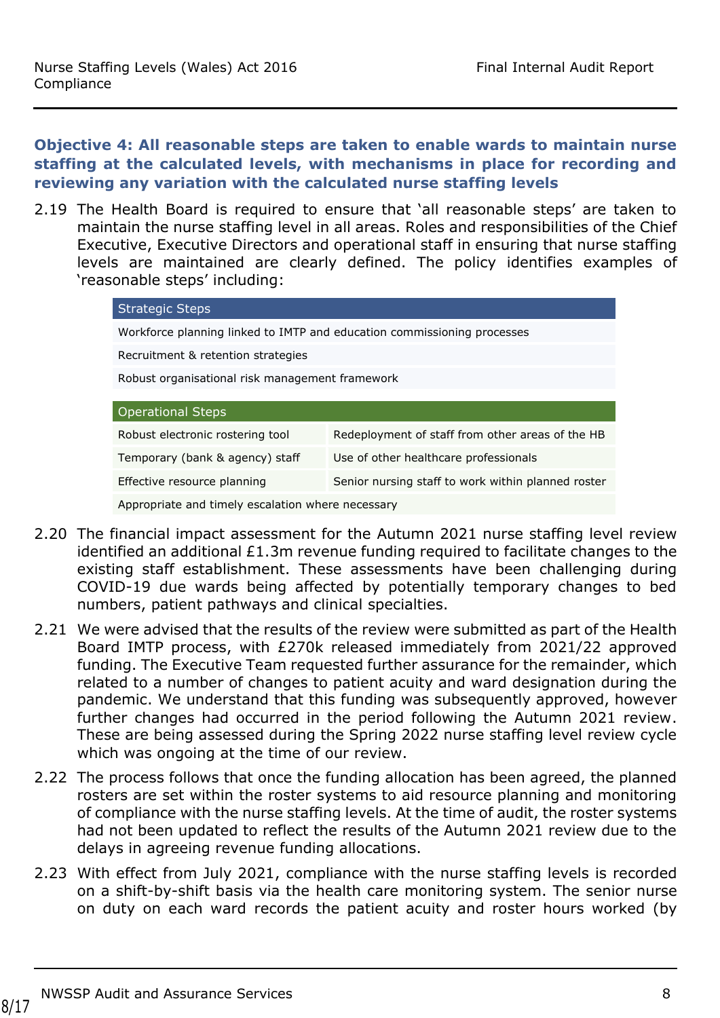#### **Objective 4: All reasonable steps are taken to enable wards to maintain nurse staffing at the calculated levels, with mechanisms in place for recording and reviewing any variation with the calculated nurse staffing levels**

2.19 The Health Board is required to ensure that 'all reasonable steps' are taken to maintain the nurse staffing level in all areas. Roles and responsibilities of the Chief Executive, Executive Directors and operational staff in ensuring that nurse staffing levels are maintained are clearly defined. The policy identifies examples of 'reasonable steps' including:

| <b>Strategic Steps</b>                                                            |                                                  |  |  |  |
|-----------------------------------------------------------------------------------|--------------------------------------------------|--|--|--|
| Workforce planning linked to IMTP and education commissioning processes           |                                                  |  |  |  |
| Recruitment & retention strategies                                                |                                                  |  |  |  |
| Robust organisational risk management framework                                   |                                                  |  |  |  |
| <b>Operational Steps</b>                                                          |                                                  |  |  |  |
|                                                                                   |                                                  |  |  |  |
| Robust electronic rostering tool                                                  | Redeployment of staff from other areas of the HB |  |  |  |
| Use of other healthcare professionals<br>Temporary (bank & agency) staff          |                                                  |  |  |  |
| Senior nursing staff to work within planned roster<br>Effective resource planning |                                                  |  |  |  |
| Appropriate and timely escalation where necessary                                 |                                                  |  |  |  |

Appropriate and timely escalation where necessary

- 2.20 The financial impact assessment for the Autumn 2021 nurse staffing level review identified an additional £1.3m revenue funding required to facilitate changes to the existing staff establishment. These assessments have been challenging during COVID-19 due wards being affected by potentially temporary changes to bed numbers, patient pathways and clinical specialties.
- 2.21 We were advised that the results of the review were submitted as part of the Health Board IMTP process, with £270k released immediately from 2021/22 approved funding. The Executive Team requested further assurance for the remainder, which related to a number of changes to patient acuity and ward designation during the pandemic. We understand that this funding was subsequently approved, however further changes had occurred in the period following the Autumn 2021 review. These are being assessed during the Spring 2022 nurse staffing level review cycle which was ongoing at the time of our review.
- 2.22 The process follows that once the funding allocation has been agreed, the planned rosters are set within the roster systems to aid resource planning and monitoring of compliance with the nurse staffing levels. At the time of audit, the roster systems had not been updated to reflect the results of the Autumn 2021 review due to the delays in agreeing revenue funding allocations.
- 2.23 With effect from July 2021, compliance with the nurse staffing levels is recorded on a shift-by-shift basis via the health care monitoring system. The senior nurse on duty on each ward records the patient acuity and roster hours worked (by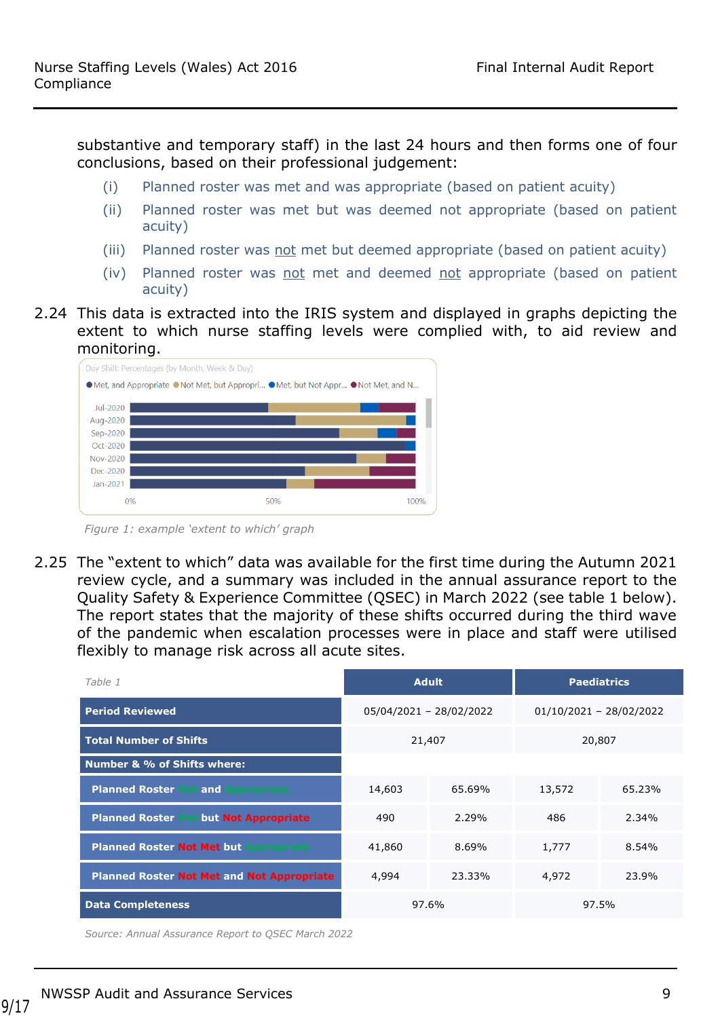substantive and temporary staff) in the last 24 hours and then forms one of four conclusions, based on their professional judgement:

- (i) Planned roster was met and was appropriate (based on patient acuity)
- (ii) Planned roster was met but was deemed not appropriate (based on patient acuity)
- (iii) Planned roster was not met but deemed appropriate (based on patient acuity)
- (iv) Planned roster was not met and deemed not appropriate (based on patient acuity)
- 2.24 This data is extracted into the IRIS system and displayed in graphs depicting the extent to which nurse staffing levels were complied with, to aid review and monitoring.



 *Figure 1: example 'extent to which' graph*

2.25 The "extent to which" data was available for the first time during the Autumn 2021 review cycle, and a summary was included in the annual assurance report to the Quality Safety & Experience Committee (QSEC) in March 2022 (see table 1 below). The report states that the majority of these shifts occurred during the third wave of the pandemic when escalation processes were in place and staff were utilised flexibly to manage risk across all acute sites.

| Table 1                                           |        | <b>Adult</b>            |        | <b>Paediatrics</b>        |
|---------------------------------------------------|--------|-------------------------|--------|---------------------------|
| <b>Period Reviewed</b>                            |        | 05/04/2021 - 28/02/2022 |        | $01/10/2021 - 28/02/2022$ |
| <b>Total Number of Shifts</b>                     | 21,407 |                         | 20,807 |                           |
| <b>Number &amp; % of Shifts where:</b>            |        |                         |        |                           |
| <b>Planned Roster Met and Appropriate</b>         | 14,603 | 65.69%                  | 13,572 | 65.23%                    |
| <b>Planned Roster</b><br>but Not Appropriate      | 490    | 2.29%                   | 486    | 2.34%                     |
| <b>Planned Roster Not Met but Appropriate</b>     | 41,860 | 8.69%                   | 1,777  | 8.54%                     |
| <b>Planned Roster Not Met and Not Appropriate</b> | 4,994  | 23.33%                  | 4,972  | 23.9%                     |
| <b>Data Completeness</b>                          | 97.6%  |                         |        | 97.5%                     |

*Source: Annual Assurance Report to QSEC March 2022*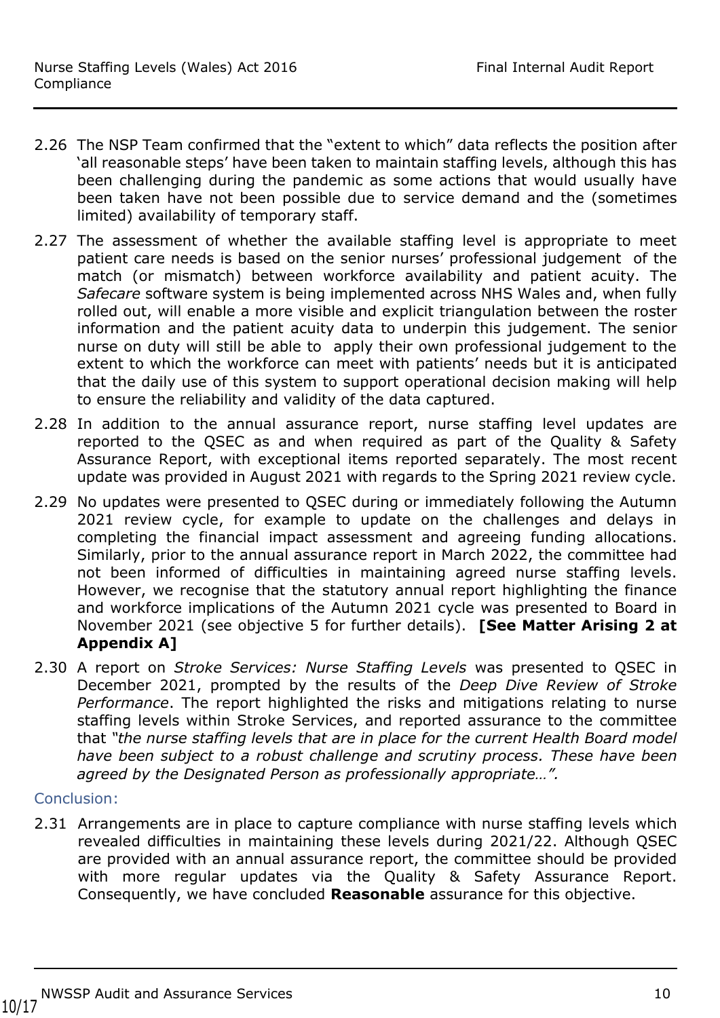- 2.26 The NSP Team confirmed that the "extent to which" data reflects the position after 'all reasonable steps' have been taken to maintain staffing levels, although this has been challenging during the pandemic as some actions that would usually have been taken have not been possible due to service demand and the (sometimes limited) availability of temporary staff.
- 2.27 The assessment of whether the available staffing level is appropriate to meet patient care needs is based on the senior nurses' professional judgement of the match (or mismatch) between workforce availability and patient acuity. The *Safecare* software system is being implemented across NHS Wales and, when fully rolled out, will enable a more visible and explicit triangulation between the roster information and the patient acuity data to underpin this judgement. The senior nurse on duty will still be able to apply their own professional judgement to the extent to which the workforce can meet with patients' needs but it is anticipated that the daily use of this system to support operational decision making will help to ensure the reliability and validity of the data captured.
- 2.28 In addition to the annual assurance report, nurse staffing level updates are reported to the QSEC as and when required as part of the Quality & Safety Assurance Report, with exceptional items reported separately. The most recent update was provided in August 2021 with regards to the Spring 2021 review cycle.
- 2.29 No updates were presented to QSEC during or immediately following the Autumn 2021 review cycle, for example to update on the challenges and delays in completing the financial impact assessment and agreeing funding allocations. Similarly, prior to the annual assurance report in March 2022, the committee had not been informed of difficulties in maintaining agreed nurse staffing levels. However, we recognise that the statutory annual report highlighting the finance and workforce implications of the Autumn 2021 cycle was presented to Board in November 2021 (see objective 5 for further details). **[See Matter Arising 2 at Appendix A]**
- 2.30 A report on *Stroke Services: Nurse Staffing Levels* was presented to QSEC in December 2021, prompted by the results of the *Deep Dive Review of Stroke Performance*. The report highlighted the risks and mitigations relating to nurse staffing levels within Stroke Services, and reported assurance to the committee that *"the nurse staffing levels that are in place for the current Health Board model have been subject to a robust challenge and scrutiny process. These have been agreed by the Designated Person as professionally appropriate…".*

#### Conclusion:

2.31 Arrangements are in place to capture compliance with nurse staffing levels which revealed difficulties in maintaining these levels during 2021/22. Although QSEC are provided with an annual assurance report, the committee should be provided with more regular updates via the Quality & Safety Assurance Report. Consequently, we have concluded **Reasonable** assurance for this objective.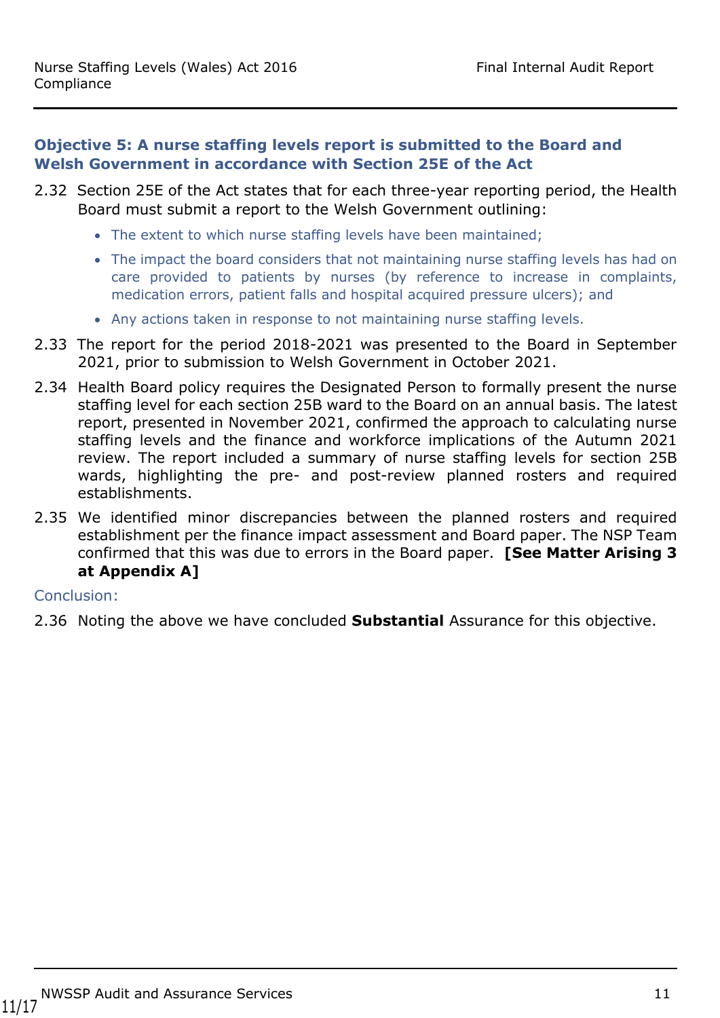#### **Objective 5: A nurse staffing levels report is submitted to the Board and Welsh Government in accordance with Section 25E of the Act**

- 2.32 Section 25E of the Act states that for each three-year reporting period, the Health Board must submit a report to the Welsh Government outlining:
	- The extent to which nurse staffing levels have been maintained;
	- The impact the board considers that not maintaining nurse staffing levels has had on care provided to patients by nurses (by reference to increase in complaints, medication errors, patient falls and hospital acquired pressure ulcers); and
	- Any actions taken in response to not maintaining nurse staffing levels.
- 2.33 The report for the period 2018-2021 was presented to the Board in September 2021, prior to submission to Welsh Government in October 2021.
- 2.34 Health Board policy requires the Designated Person to formally present the nurse staffing level for each section 25B ward to the Board on an annual basis. The latest report, presented in November 2021, confirmed the approach to calculating nurse staffing levels and the finance and workforce implications of the Autumn 2021 review. The report included a summary of nurse staffing levels for section 25B wards, highlighting the pre- and post-review planned rosters and required establishments.
- 2.35 We identified minor discrepancies between the planned rosters and required establishment per the finance impact assessment and Board paper. The NSP Team confirmed that this was due to errors in the Board paper. **[See Matter Arising 3 at Appendix A]**

#### Conclusion:

2.36 Noting the above we have concluded **Substantial** Assurance for this objective.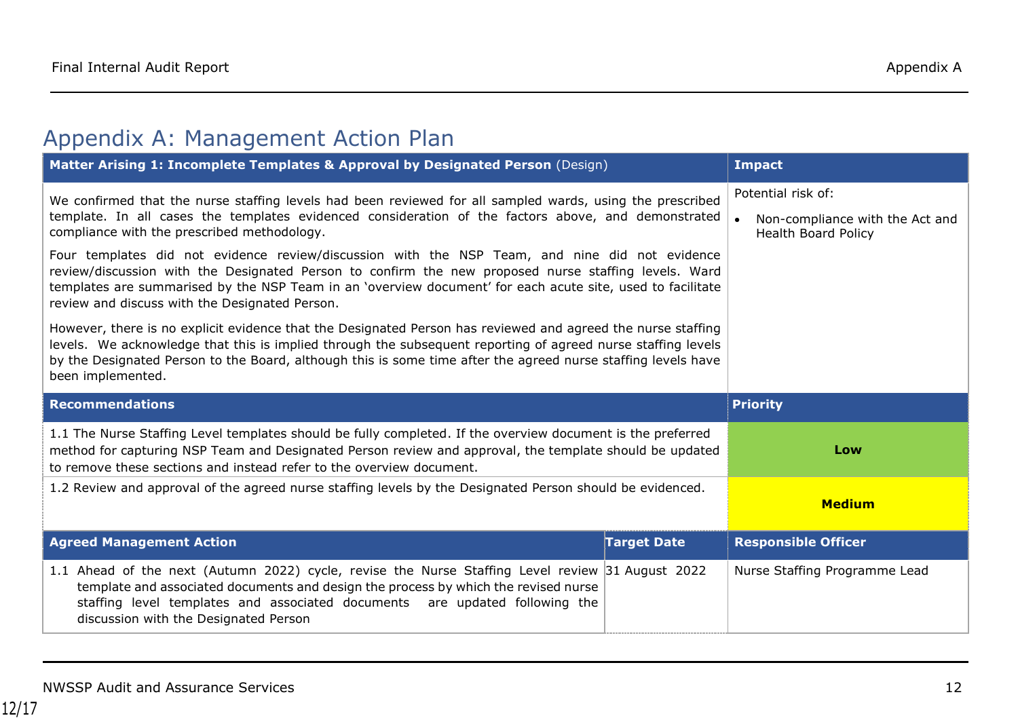# Appendix A: Management Action Plan

<span id="page-11-0"></span>

| Matter Arising 1: Incomplete Templates & Approval by Designated Person (Design)                                                                                                                                                                                                                                                                                                                                                                                                                                                                                                                                                                                                                                                                                                                                                                                                                                                                                                                                 | <b>Impact</b>      |                                                                              |
|-----------------------------------------------------------------------------------------------------------------------------------------------------------------------------------------------------------------------------------------------------------------------------------------------------------------------------------------------------------------------------------------------------------------------------------------------------------------------------------------------------------------------------------------------------------------------------------------------------------------------------------------------------------------------------------------------------------------------------------------------------------------------------------------------------------------------------------------------------------------------------------------------------------------------------------------------------------------------------------------------------------------|--------------------|------------------------------------------------------------------------------|
| We confirmed that the nurse staffing levels had been reviewed for all sampled wards, using the prescribed<br>template. In all cases the templates evidenced consideration of the factors above, and demonstrated<br>compliance with the prescribed methodology.<br>Four templates did not evidence review/discussion with the NSP Team, and nine did not evidence<br>review/discussion with the Designated Person to confirm the new proposed nurse staffing levels. Ward<br>templates are summarised by the NSP Team in an 'overview document' for each acute site, used to facilitate<br>review and discuss with the Designated Person.<br>However, there is no explicit evidence that the Designated Person has reviewed and agreed the nurse staffing<br>levels. We acknowledge that this is implied through the subsequent reporting of agreed nurse staffing levels<br>by the Designated Person to the Board, although this is some time after the agreed nurse staffing levels have<br>been implemented. |                    | Potential risk of:<br>Non-compliance with the Act and<br>Health Board Policy |
| <b>Recommendations</b>                                                                                                                                                                                                                                                                                                                                                                                                                                                                                                                                                                                                                                                                                                                                                                                                                                                                                                                                                                                          |                    | <b>Priority</b>                                                              |
|                                                                                                                                                                                                                                                                                                                                                                                                                                                                                                                                                                                                                                                                                                                                                                                                                                                                                                                                                                                                                 |                    |                                                                              |
| 1.1 The Nurse Staffing Level templates should be fully completed. If the overview document is the preferred<br>method for capturing NSP Team and Designated Person review and approval, the template should be updated<br>to remove these sections and instead refer to the overview document.                                                                                                                                                                                                                                                                                                                                                                                                                                                                                                                                                                                                                                                                                                                  |                    | Low                                                                          |
| 1.2 Review and approval of the agreed nurse staffing levels by the Designated Person should be evidenced.                                                                                                                                                                                                                                                                                                                                                                                                                                                                                                                                                                                                                                                                                                                                                                                                                                                                                                       |                    | <b>Medium</b>                                                                |
| <b>Agreed Management Action</b>                                                                                                                                                                                                                                                                                                                                                                                                                                                                                                                                                                                                                                                                                                                                                                                                                                                                                                                                                                                 | <b>Target Date</b> | <b>Responsible Officer</b>                                                   |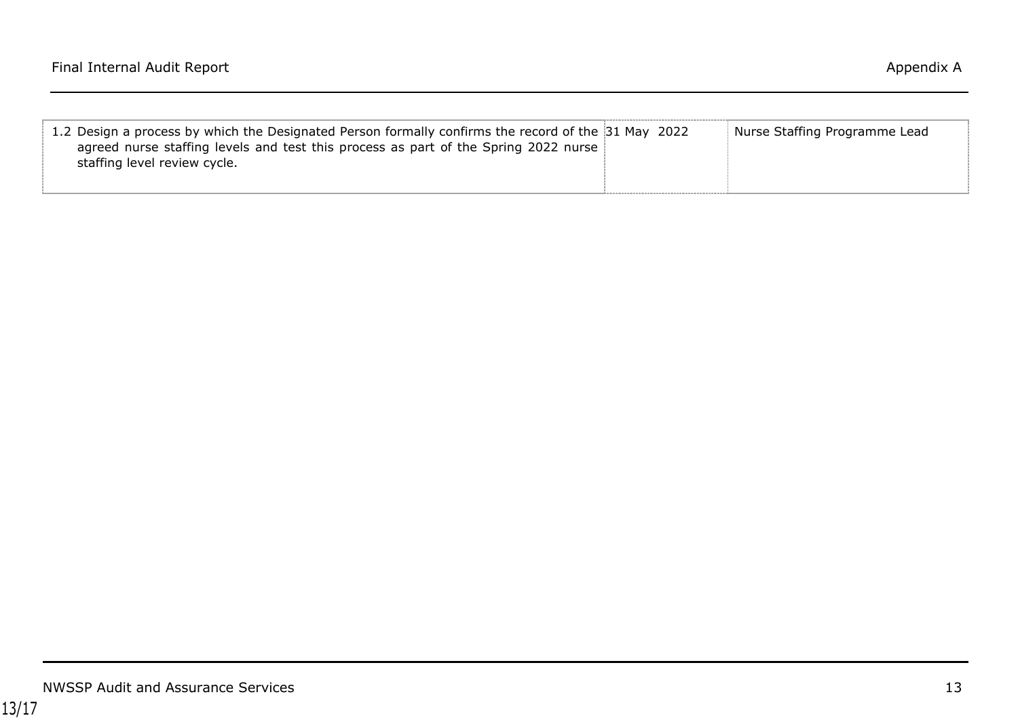| 1.2 Design a process by which the Designated Person formally confirms the record of the 31 May 2022<br>agreed nurse staffing levels and test this process as part of the Spring 2022 nurse<br>staffing level review cycle. | Nurse Staffing Programme Lead |
|----------------------------------------------------------------------------------------------------------------------------------------------------------------------------------------------------------------------------|-------------------------------|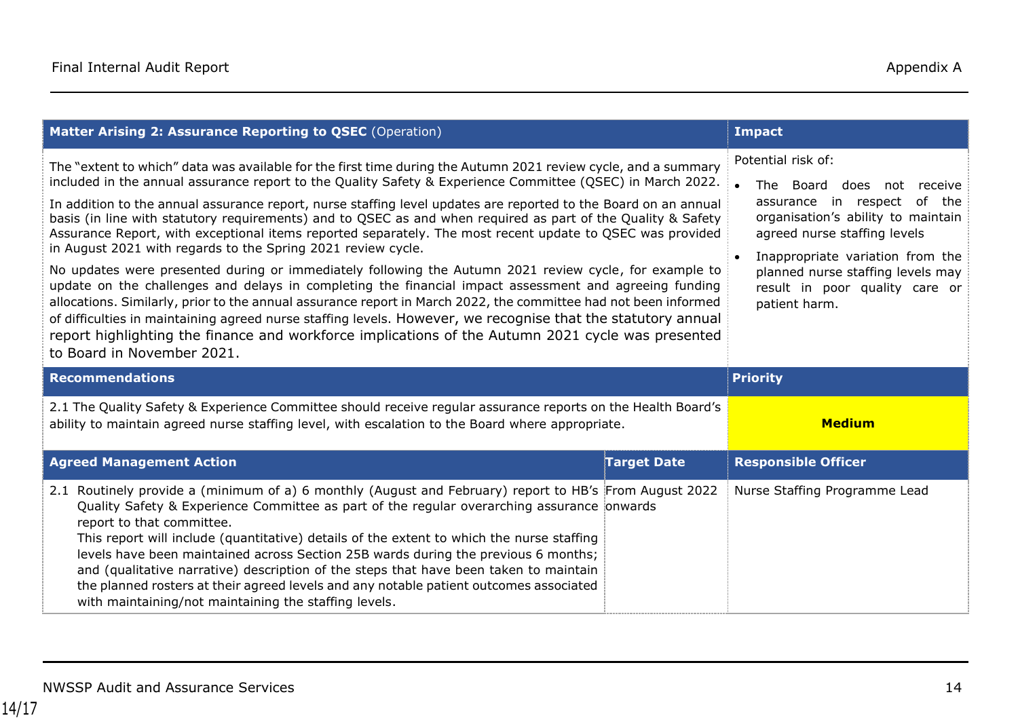| Matter Arising 2: Assurance Reporting to QSEC (Operation)                                                                                                                                                                                                                                                                                                                                                                                                                                                                                                                                                                                                                                                                                                                                                                                                                                                                                                                                                                                                                                                                                                                                                                              | <b>Impact</b>                                                                                                                                                                                                                                                                                     |                            |
|----------------------------------------------------------------------------------------------------------------------------------------------------------------------------------------------------------------------------------------------------------------------------------------------------------------------------------------------------------------------------------------------------------------------------------------------------------------------------------------------------------------------------------------------------------------------------------------------------------------------------------------------------------------------------------------------------------------------------------------------------------------------------------------------------------------------------------------------------------------------------------------------------------------------------------------------------------------------------------------------------------------------------------------------------------------------------------------------------------------------------------------------------------------------------------------------------------------------------------------|---------------------------------------------------------------------------------------------------------------------------------------------------------------------------------------------------------------------------------------------------------------------------------------------------|----------------------------|
| The "extent to which" data was available for the first time during the Autumn 2021 review cycle, and a summary<br>included in the annual assurance report to the Quality Safety & Experience Committee (QSEC) in March 2022.<br>In addition to the annual assurance report, nurse staffing level updates are reported to the Board on an annual<br>basis (in line with statutory requirements) and to QSEC as and when required as part of the Quality & Safety<br>Assurance Report, with exceptional items reported separately. The most recent update to QSEC was provided<br>in August 2021 with regards to the Spring 2021 review cycle.<br>No updates were presented during or immediately following the Autumn 2021 review cycle, for example to<br>update on the challenges and delays in completing the financial impact assessment and agreeing funding<br>allocations. Similarly, prior to the annual assurance report in March 2022, the committee had not been informed<br>of difficulties in maintaining agreed nurse staffing levels. However, we recognise that the statutory annual<br>report highlighting the finance and workforce implications of the Autumn 2021 cycle was presented<br>to Board in November 2021. | Potential risk of:<br>The Board does<br>$\bullet$<br>not receive<br>assurance in respect of the<br>organisation's ability to maintain<br>agreed nurse staffing levels<br>Inappropriate variation from the<br>planned nurse staffing levels may<br>result in poor quality care or<br>patient harm. |                            |
|                                                                                                                                                                                                                                                                                                                                                                                                                                                                                                                                                                                                                                                                                                                                                                                                                                                                                                                                                                                                                                                                                                                                                                                                                                        |                                                                                                                                                                                                                                                                                                   |                            |
| <b>Recommendations</b>                                                                                                                                                                                                                                                                                                                                                                                                                                                                                                                                                                                                                                                                                                                                                                                                                                                                                                                                                                                                                                                                                                                                                                                                                 |                                                                                                                                                                                                                                                                                                   | <b>Priority</b>            |
| 2.1 The Quality Safety & Experience Committee should receive regular assurance reports on the Health Board's<br>ability to maintain agreed nurse staffing level, with escalation to the Board where appropriate.                                                                                                                                                                                                                                                                                                                                                                                                                                                                                                                                                                                                                                                                                                                                                                                                                                                                                                                                                                                                                       |                                                                                                                                                                                                                                                                                                   | <b>Medium</b>              |
| <b>Agreed Management Action</b>                                                                                                                                                                                                                                                                                                                                                                                                                                                                                                                                                                                                                                                                                                                                                                                                                                                                                                                                                                                                                                                                                                                                                                                                        | <b>Target Date</b>                                                                                                                                                                                                                                                                                | <b>Responsible Officer</b> |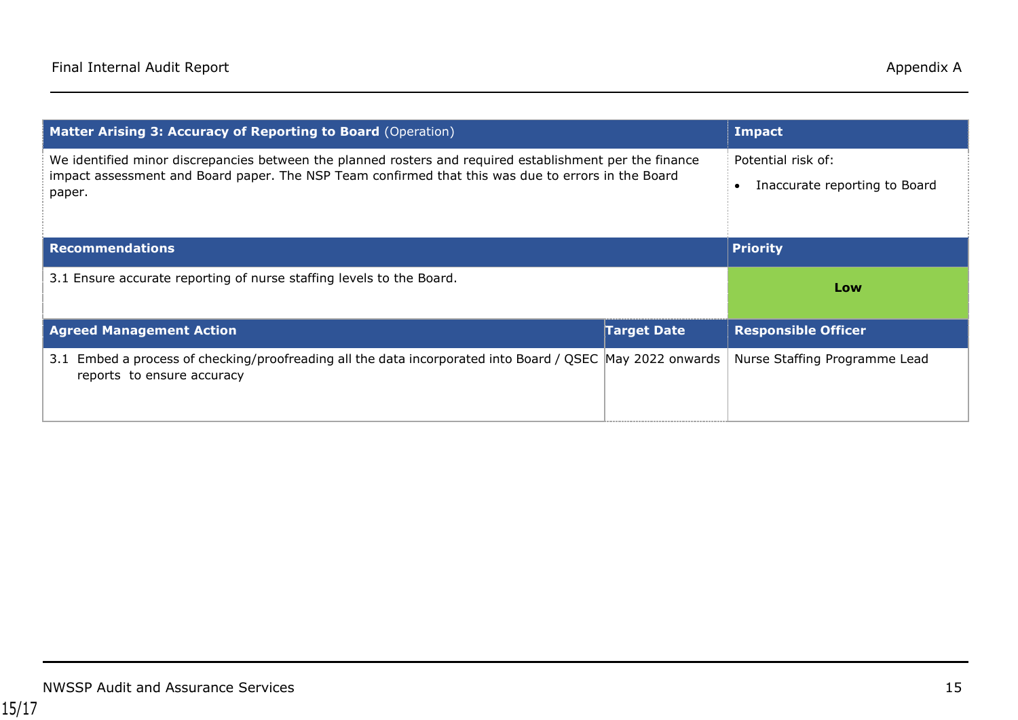| Matter Arising 3: Accuracy of Reporting to Board (Operation)                                                                                                                                                             | Impact             |                                                     |
|--------------------------------------------------------------------------------------------------------------------------------------------------------------------------------------------------------------------------|--------------------|-----------------------------------------------------|
| We identified minor discrepancies between the planned rosters and required establishment per the finance<br>impact assessment and Board paper. The NSP Team confirmed that this was due to errors in the Board<br>paper. |                    | Potential risk of:<br>Inaccurate reporting to Board |
| <b>Recommendations</b>                                                                                                                                                                                                   |                    | <b>Priority</b>                                     |
|                                                                                                                                                                                                                          |                    |                                                     |
| 3.1 Ensure accurate reporting of nurse staffing levels to the Board.                                                                                                                                                     |                    | Low                                                 |
| <b>Agreed Management Action</b>                                                                                                                                                                                          | <b>Target Date</b> | <b>Responsible Officer</b>                          |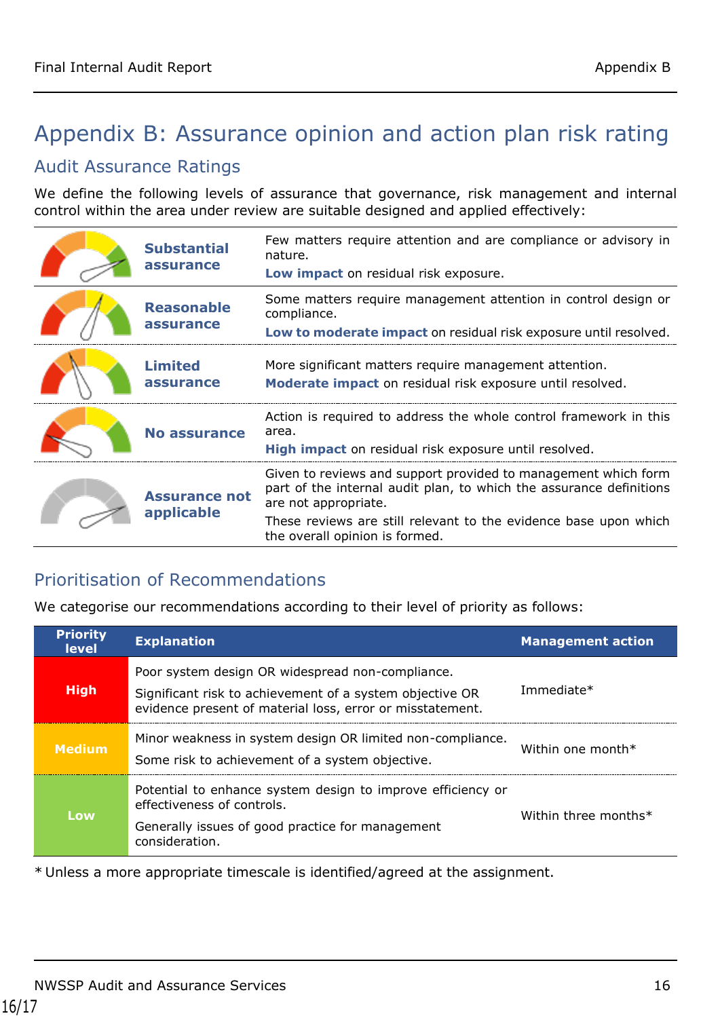# <span id="page-15-0"></span>Appendix B: Assurance opinion and action plan risk rating

## Audit Assurance Ratings

We define the following levels of assurance that governance, risk management and internal control within the area under review are suitable designed and applied effectively:

| <b>Substantial</b><br>assurance    | Few matters require attention and are compliance or advisory in<br>nature.<br>Low impact on residual risk exposure.                                                                                                                                                 |
|------------------------------------|---------------------------------------------------------------------------------------------------------------------------------------------------------------------------------------------------------------------------------------------------------------------|
| <b>Reasonable</b><br>assurance     | Some matters require management attention in control design or<br>compliance.<br>Low to moderate impact on residual risk exposure until resolved.                                                                                                                   |
| <b>Limited</b><br>assurance        | More significant matters require management attention.<br>Moderate impact on residual risk exposure until resolved.                                                                                                                                                 |
| No assurance                       | Action is required to address the whole control framework in this<br>area.<br>High impact on residual risk exposure until resolved.                                                                                                                                 |
| <b>Assurance not</b><br>applicable | Given to reviews and support provided to management which form<br>part of the internal audit plan, to which the assurance definitions<br>are not appropriate.<br>These reviews are still relevant to the evidence base upon which<br>the overall opinion is formed. |

## Prioritisation of Recommendations

We categorise our recommendations according to their level of priority as follows:

| <b>Priority</b><br><b>level</b> | <b>Explanation</b>                                                                                                                                                        | <b>Management action</b> |
|---------------------------------|---------------------------------------------------------------------------------------------------------------------------------------------------------------------------|--------------------------|
| <b>High</b>                     | Poor system design OR widespread non-compliance.<br>Significant risk to achievement of a system objective OR<br>evidence present of material loss, error or misstatement. | Immediate*               |
| <b>Medium</b>                   | Minor weakness in system design OR limited non-compliance.<br>Some risk to achievement of a system objective.                                                             | Within one month $*$     |
| Low                             | Potential to enhance system design to improve efficiency or<br>effectiveness of controls.<br>Generally issues of good practice for management<br>consideration.           | Within three months*     |

\* Unless a more appropriate timescale is identified/agreed at the assignment.